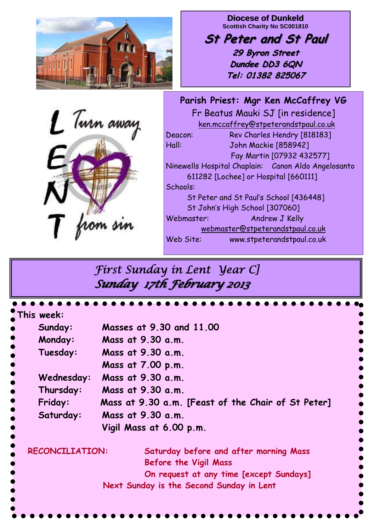

1 Turn away from sin

**Diocese of Dunkeld Scottish Charity No SC001810** 

**St Peter and St Paul St Peter and St Paul 29 Byron Street 29 Byron Street Dundee DD3 6QN Tel: 01382 825067**

**Parish Priest: Mgr Ken McCaffrey VG**  Fr Beatus Mauki SJ [in residence] ken.mccaffrey@stpeterandstpaul.co.uk Deacon: Rev Charles Hendry [818183] Hall: John Mackie [858942] Fay Martin [07932 432577] Ninewells Hospital Chaplain: Canon Aldo Angelosanto 611282 [Lochee] or Hospital [660111] Schools: St Peter and St Paul's School [436448] St John's High School [307060] Webmaster: Andrew J Kelly webmaster@stpeterandstpaul.co.uk Web Site: www.stpeterandstpaul.co.uk

# *First Sunday in Lent Year C] Sunday 17th February 2013 Sunday 17th February 2013*

| This week:             |                                                    |
|------------------------|----------------------------------------------------|
| Sunday:                | Masses at 9.30 and 11.00                           |
| Monday:                | Mass at 9.30 a.m.                                  |
| Tuesday:               | Mass at 9.30 a.m.                                  |
|                        | Mass at 7.00 p.m.                                  |
| Wednesday:             | Mass at 9.30 a.m.                                  |
| Thursday:              | Mass at 9.30 a.m.                                  |
| Friday:                | Mass at 9.30 a.m. [Feast of the Chair of St Peter] |
| Saturday:              | Mass at 9.30 a.m.                                  |
|                        | Vigil Mass at 6.00 p.m.                            |
| <b>RECONCILIATION:</b> | Saturday before and after morning Mass             |
|                        | <b>Before the Vigil Mass</b>                       |
|                        | On request at any time [except Sundays]            |
|                        | Next Sunday is the Second Sunday in Lent           |
|                        |                                                    |
|                        |                                                    |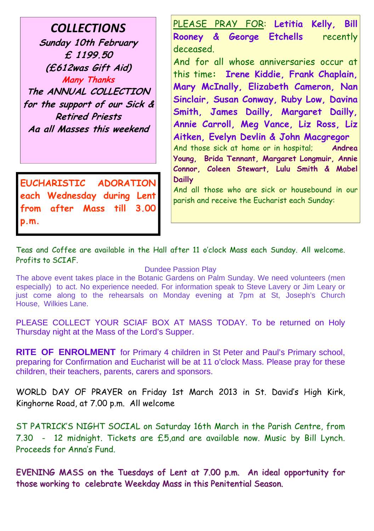*COLLECTIONS* **Sunday 10th February £ 1199.50 (£612was Gift Aid) Many Thanks The ANNUAL COLLECTION for the support of our Sick & Retired Priests Aa all Masses this weekend** 

**EUCHARISTIC ADORATION each Wednesday during Lent from after Mass till 3.00 p.m.** 

PLEASE PRAY FOR: **Letitia Kelly, Bill Rooney & George Etchells** recently deceased.

And for all whose anniversaries occur at this time**: Irene Kiddie, Frank Chaplain, Mary McInally, Elizabeth Cameron, Nan Sinclair, Susan Conway, Ruby Low, Davina Smith, James Dailly, Margaret Dailly, Annie Carroll, Meg Vance, Liz Ross, Liz Aitken, Evelyn Devlin & John Macgregor** And those sick at home or in hospital; **Andrea Young, Brida Tennant, Margaret Longmuir, Annie** 

**Dailly** And all those who are sick or housebound in our parish and receive the Eucharist each Sunday:

**Connor, Coleen Stewart, Lulu Smith & Mabel** 

Teas and Coffee are available in the Hall after 11 o'clock Mass each Sunday. All welcome. Profits to SCIAF.

#### Dundee Passion Play

The above event takes place in the Botanic Gardens on Palm Sunday. We need volunteers (men especially) to act. No experience needed. For information speak to Steve Lavery or Jim Leary or just come along to the rehearsals on Monday evening at 7pm at St, Joseph's Church House, Wilkies Lane.

PLEASE COLLECT YOUR SCIAF BOX AT MASS TODAY. To be returned on Holy Thursday night at the Mass of the Lord's Supper.

**RITE OF ENROLMENT** for Primary 4 children in St Peter and Paul's Primary school, preparing for Confirmation and Eucharist will be at 11 o'clock Mass. Please pray for these children, their teachers, parents, carers and sponsors.

WORLD DAY OF PRAYER on Friday 1st March 2013 in St. David's High Kirk, Kinghorne Road, at 7.00 p.m. All welcome

ST PATRICK'S NIGHT SOCIAL on Saturday 16th March in the Parish Centre, from 7.30 - 12 midnight. Tickets are £5,and are available now. Music by Bill Lynch. Proceeds for Anna's Fund.

EVENING MASS on the Tuesdays of Lent at 7.00 p.m. An ideal opportunity for those working to celebrate Weekday Mass in this Penitential Season.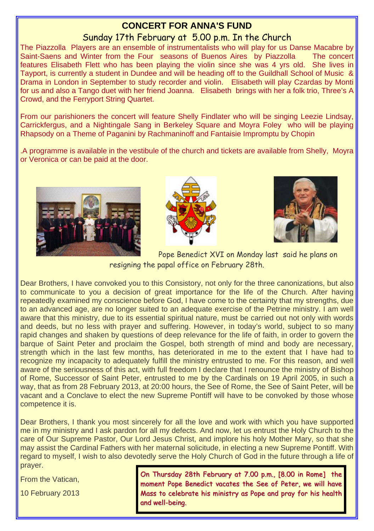## **CONCERT FOR ANNA'S FUND**

#### Sunday 17th February at 5.00 p.m. In the Church

The Piazzolla Players are an ensemble of instrumentalists who will play for us Danse Macabre by Saint-Saens and Winter from the Four seasons of Buenos Aires by Piazzolla The concert features Elisabeth Flett who has been playing the violin since she was 4 yrs old. She lives in Tayport, is currently a student in Dundee and will be heading off to the Guildhall School of Music & Drama in London in September to study recorder and violin. Elisabeth will play Czardas by Monti for us and also a Tango duet with her friend Joanna. Elisabeth brings with her a folk trio, Three's A Crowd, and the Ferryport String Quartet.

From our parishioners the concert will feature Shelly Findlater who will be singing Leezie Lindsay, Carrickfergus, and a Nightingale Sang in Berkeley Square and Moyra Foley who will be playing Rhapsody on a Theme of Paganini by Rachmaninoff and Fantaisie Impromptu by Chopin

.A programme is available in the vestibule of the church and tickets are available from Shelly, Moyra or Veronica or can be paid at the door.







Pope Benedict XVI on Monday last said he plans on resigning the papal office on February 28th.

Dear Brothers, I have convoked you to this Consistory, not only for the three canonizations, but also to communicate to you a decision of great importance for the life of the Church. After having repeatedly examined my conscience before God, I have come to the certainty that my strengths, due to an advanced age, are no longer suited to an adequate exercise of the Petrine ministry. I am well aware that this ministry, due to its essential spiritual nature, must be carried out not only with words and deeds, but no less with prayer and suffering. However, in today's world, subject to so many rapid changes and shaken by questions of deep relevance for the life of faith, in order to govern the barque of Saint Peter and proclaim the Gospel, both strength of mind and body are necessary, strength which in the last few months, has deteriorated in me to the extent that I have had to recognize my incapacity to adequately fulfill the ministry entrusted to me. For this reason, and well aware of the seriousness of this act, with full freedom I declare that I renounce the ministry of Bishop of Rome, Successor of Saint Peter, entrusted to me by the Cardinals on 19 April 2005, in such a way, that as from 28 February 2013, at 20:00 hours, the See of Rome, the See of Saint Peter, will be vacant and a Conclave to elect the new Supreme Pontiff will have to be convoked by those whose competence it is.

Dear Brothers, I thank you most sincerely for all the love and work with which you have supported me in my ministry and I ask pardon for all my defects. And now, let us entrust the Holy Church to the care of Our Supreme Pastor, Our Lord Jesus Christ, and implore his holy Mother Mary, so that she may assist the Cardinal Fathers with her maternal solicitude, in electing a new Supreme Pontiff. With regard to myself, I wish to also devotedly serve the Holy Church of God in the future through a life of prayer.

From the Vatican,

10 February 2013

On Thursday 28th February at 7.00 p.m., [8.00 in Rome] the moment Pope Benedict vacates the See of Peter, we will have Mass to celebrate his ministry as Pope and pray for his health and well-being.